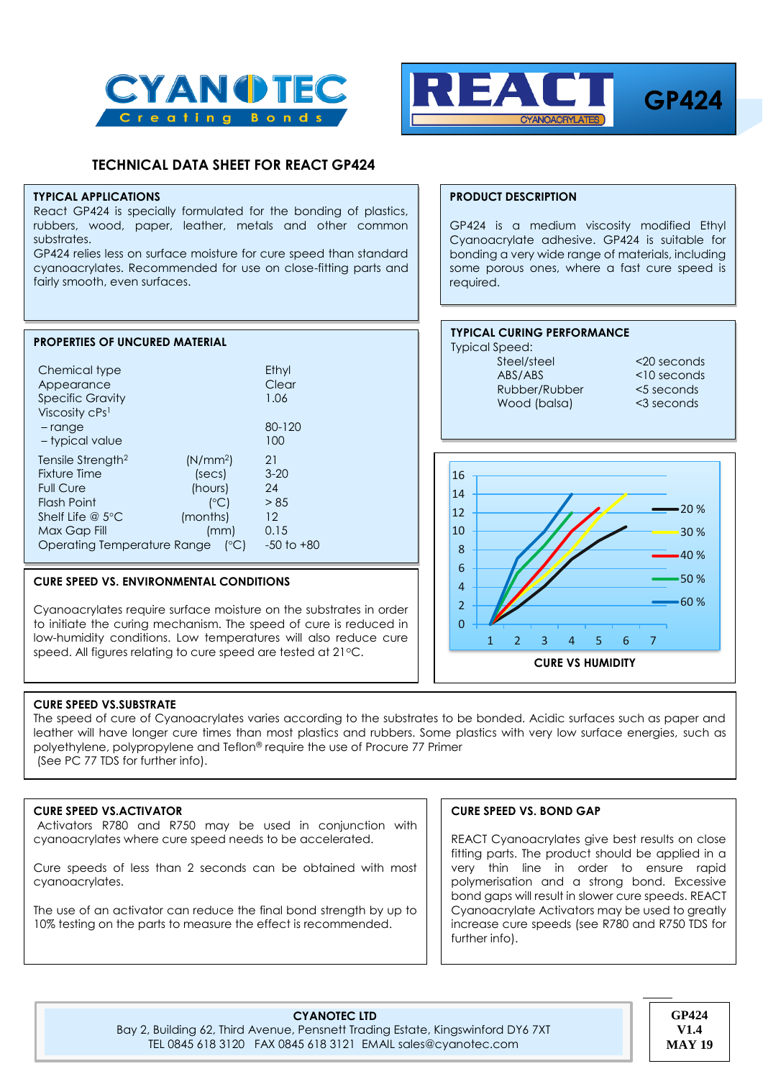



# **TECHNICAL DATA SHEET FOR REACT GP424**

#### **TYPICAL APPLICATIONS**

React GP424 is specially formulated for the bonding of plastics, rubbers, wood, paper, leather, metals and other common substrates.

GP424 relies less on surface moisture for cure speed than standard cyanoacrylates. Recommended for use on close-fitting parts and fairly smooth, even surfaces.

| <b>PROPERTIES OF UNCURED MATERIAL</b>                                                                                                                             |                                                                                |                                                              |
|-------------------------------------------------------------------------------------------------------------------------------------------------------------------|--------------------------------------------------------------------------------|--------------------------------------------------------------|
| Chemical type<br>Appearance<br><b>Specific Gravity</b><br>Viscosity cPs <sup>1</sup>                                                                              |                                                                                | Ethyl<br>Clear<br>1.06                                       |
| $-$ range<br>- typical value                                                                                                                                      |                                                                                | 80-120<br>100                                                |
| Tensile Strength <sup>2</sup><br><b>Fixture Time</b><br><b>Full Cure</b><br>Flash Point<br>Shelf Life $@$ 5°C<br>Max Gap Fill<br>Operating Temperature Range (°C) | (N/mm <sup>2</sup> )<br>(secs)<br>(hours)<br>$(^{\circ}C)$<br>(months)<br>(mm) | 21<br>$3 - 20$<br>24<br>> 85<br>12<br>0.15<br>$-50$ to $+80$ |

#### <sup>1</sup>ISO 3104/3105 2 ISO 6922 **CURE SPEED VS. ENVIRONMENTAL CONDITIONS**

Cyanoacrylates require surface moisture on the substrates in order to initiate the curing mechanism. The speed of cure is reduced in low-humidity conditions. Low temperatures will also reduce cure speed. All figures relating to cure speed are tested at 21°C.

# **PRODUCT DESCRIPTION**

GP424 is a medium viscosity modified Ethyl Cyanoacrylate adhesive. GP424 is suitable for bonding a very wide range of materials, including some porous ones, where a fast cure speed is required.

#### **TYPICAL CURING PERFORMANCE** Typical Speed: Steel/steel <20 seconds ABS/ABS <10 seconds

Rubber/Rubber <5 seconds Wood (balsa) <3 seconds



# **CURE SPEED VS.SUBSTRATE**

The speed of cure of Cyanoacrylates varies according to the substrates to be bonded. Acidic surfaces such as paper and leather will have longer cure times than most plastics and rubbers. Some plastics with very low surface energies, such as polyethylene, polypropylene and Teflon® require the use of Procure 77 Primer (See PC 77 TDS for further info).

# **CURE SPEED VS.ACTIVATOR**

Activators R780 and R750 may be used in conjunction with cyanoacrylates where cure speed needs to be accelerated.

Cure speeds of less than 2 seconds can be obtained with most cyanoacrylates.

The use of an activator can reduce the final bond strength by up to 10% testing on the parts to measure the effect is recommended.

# **CURE SPEED VS. BOND GAP**

REACT Cyanoacrylates give best results on close fitting parts. The product should be applied in a very thin line in order to ensure rapid polymerisation and a strong bond. Excessive bond gaps will result in slower cure speeds. REACT Cyanoacrylate Activators may be used to greatly increase cure speeds (see R780 and R750 TDS for further info).